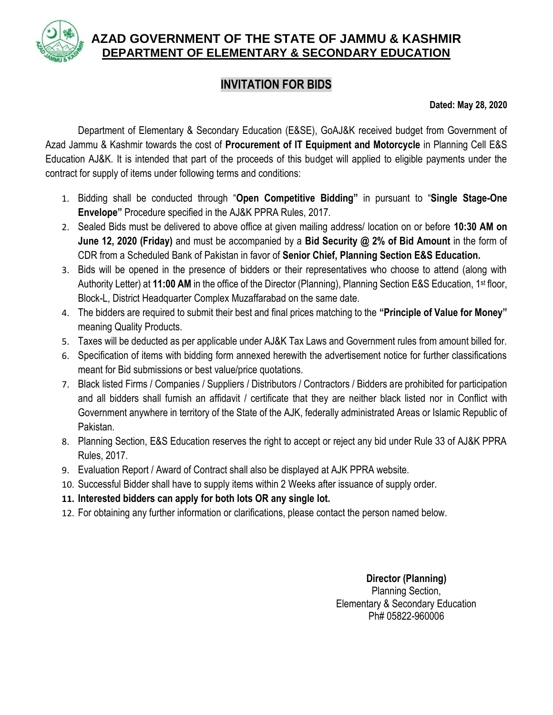

## **AZAD GOVERNMENT OF THE STATE OF JAMMU & KASHMIR DEPARTMENT OF ELEMENTARY & SECONDARY EDUCATION**

## **INVITATION FOR BIDS**

**Dated: May 28, 2020**

Department of Elementary & Secondary Education (E&SE), GoAJ&K received budget from Government of Azad Jammu & Kashmir towards the cost of **Procurement of IT Equipment and Motorcycle** in Planning Cell E&S Education AJ&K. It is intended that part of the proceeds of this budget will applied to eligible payments under the contract for supply of items under following terms and conditions:

- 1. Bidding shall be conducted through "**Open Competitive Bidding"** in pursuant to "**Single Stage-One Envelope"** Procedure specified in the AJ&K PPRA Rules, 2017.
- 2. Sealed Bids must be delivered to above office at given mailing address/ location on or before **10:30 AM on June 12, 2020 (Friday)** and must be accompanied by a **Bid Security @ 2% of Bid Amount** in the form of CDR from a Scheduled Bank of Pakistan in favor of **Senior Chief, Planning Section E&S Education.**
- 3. Bids will be opened in the presence of bidders or their representatives who choose to attend (along with Authority Letter) at 11:00 AM in the office of the Director (Planning), Planning Section E&S Education, 1<sup>st</sup> floor, Block-L, District Headquarter Complex Muzaffarabad on the same date.
- 4. The bidders are required to submit their best and final prices matching to the **"Principle of Value for Money"** meaning Quality Products.
- 5. Taxes will be deducted as per applicable under AJ&K Tax Laws and Government rules from amount billed for.
- 6. Specification of items with bidding form annexed herewith the advertisement notice for further classifications meant for Bid submissions or best value/price quotations.
- 7. Black listed Firms / Companies / Suppliers / Distributors / Contractors / Bidders are prohibited for participation and all bidders shall furnish an affidavit / certificate that they are neither black listed nor in Conflict with Government anywhere in territory of the State of the AJK, federally administrated Areas or Islamic Republic of Pakistan.
- 8. Planning Section, E&S Education reserves the right to accept or reject any bid under Rule 33 of AJ&K PPRA Rules, 2017.
- 9. Evaluation Report / Award of Contract shall also be displayed at AJK PPRA website.
- 10. Successful Bidder shall have to supply items within 2 Weeks after issuance of supply order.
- **11. Interested bidders can apply for both lots OR any single lot.**
- 12. For obtaining any further information or clarifications, please contact the person named below.

**Director (Planning)** Planning Section, Elementary & Secondary Education Ph# 05822-960006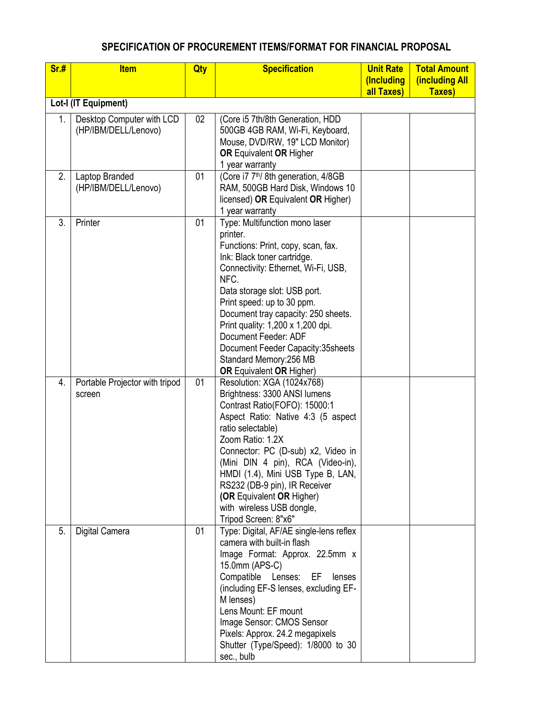## **SPECIFICATION OF PROCUREMENT ITEMS/FORMAT FOR FINANCIAL PROPOSAL**

| Sr.#                 | <b>Item</b>                    | Qty | <b>Specification</b>                                                     | <b>Unit Rate</b> | <b>Total Amount</b> |  |  |  |  |
|----------------------|--------------------------------|-----|--------------------------------------------------------------------------|------------------|---------------------|--|--|--|--|
|                      |                                |     |                                                                          | (Including       | (including All      |  |  |  |  |
| all Taxes)<br>Taxes) |                                |     |                                                                          |                  |                     |  |  |  |  |
| Lot-I (IT Equipment) |                                |     |                                                                          |                  |                     |  |  |  |  |
| 1.                   | Desktop Computer with LCD      | 02  | (Core i5 7th/8th Generation, HDD                                         |                  |                     |  |  |  |  |
|                      | (HP/IBM/DELL/Lenovo)           |     | 500GB 4GB RAM, Wi-Fi, Keyboard,                                          |                  |                     |  |  |  |  |
|                      |                                |     | Mouse, DVD/RW, 19" LCD Monitor)                                          |                  |                     |  |  |  |  |
|                      |                                |     | <b>OR Equivalent OR Higher</b>                                           |                  |                     |  |  |  |  |
| 2.                   | Laptop Branded                 | 01  | 1 year warranty<br>(Core i7 7 <sup>th</sup> /8th generation, 4/8GB       |                  |                     |  |  |  |  |
|                      | (HP/IBM/DELL/Lenovo)           |     | RAM, 500GB Hard Disk, Windows 10                                         |                  |                     |  |  |  |  |
|                      |                                |     | licensed) OR Equivalent OR Higher)                                       |                  |                     |  |  |  |  |
|                      |                                |     | 1 year warranty                                                          |                  |                     |  |  |  |  |
| 3.                   | Printer                        | 01  | Type: Multifunction mono laser                                           |                  |                     |  |  |  |  |
|                      |                                |     | printer.                                                                 |                  |                     |  |  |  |  |
|                      |                                |     | Functions: Print, copy, scan, fax.                                       |                  |                     |  |  |  |  |
|                      |                                |     | Ink: Black toner cartridge.                                              |                  |                     |  |  |  |  |
|                      |                                |     | Connectivity: Ethernet, Wi-Fi, USB,                                      |                  |                     |  |  |  |  |
|                      |                                |     | NFC.                                                                     |                  |                     |  |  |  |  |
|                      |                                |     | Data storage slot: USB port.                                             |                  |                     |  |  |  |  |
|                      |                                |     | Print speed: up to 30 ppm.                                               |                  |                     |  |  |  |  |
|                      |                                |     | Document tray capacity: 250 sheets.<br>Print quality: 1,200 x 1,200 dpi. |                  |                     |  |  |  |  |
|                      |                                |     | Document Feeder: ADF                                                     |                  |                     |  |  |  |  |
|                      |                                |     | Document Feeder Capacity: 35 sheets                                      |                  |                     |  |  |  |  |
|                      |                                |     | Standard Memory: 256 MB                                                  |                  |                     |  |  |  |  |
|                      |                                |     | <b>OR Equivalent OR Higher)</b>                                          |                  |                     |  |  |  |  |
| 4.                   | Portable Projector with tripod | 01  | Resolution: XGA (1024x768)                                               |                  |                     |  |  |  |  |
|                      | screen                         |     | Brightness: 3300 ANSI lumens                                             |                  |                     |  |  |  |  |
|                      |                                |     | Contrast Ratio(FOFO): 15000:1                                            |                  |                     |  |  |  |  |
|                      |                                |     | Aspect Ratio: Native 4:3 (5 aspect                                       |                  |                     |  |  |  |  |
|                      |                                |     | ratio selectable)                                                        |                  |                     |  |  |  |  |
|                      |                                |     | Zoom Ratio: 1.2X                                                         |                  |                     |  |  |  |  |
|                      |                                |     | Connector: PC (D-sub) x2, Video in                                       |                  |                     |  |  |  |  |
|                      |                                |     | (Mini DIN 4 pin), RCA (Video-in),<br>HMDI (1.4), Mini USB Type B, LAN,   |                  |                     |  |  |  |  |
|                      |                                |     | RS232 (DB-9 pin), IR Receiver                                            |                  |                     |  |  |  |  |
|                      |                                |     | (OR Equivalent OR Higher)                                                |                  |                     |  |  |  |  |
|                      |                                |     | with wireless USB dongle,                                                |                  |                     |  |  |  |  |
|                      |                                |     | Tripod Screen: 8"x6"                                                     |                  |                     |  |  |  |  |
| 5.                   | Digital Camera                 | 01  | Type: Digital, AF/AE single-lens reflex                                  |                  |                     |  |  |  |  |
|                      |                                |     | camera with built-in flash                                               |                  |                     |  |  |  |  |
|                      |                                |     | Image Format: Approx. 22.5mm x                                           |                  |                     |  |  |  |  |
|                      |                                |     | 15.0mm (APS-C)                                                           |                  |                     |  |  |  |  |
|                      |                                |     | Compatible<br>Lenses: EF<br>lenses                                       |                  |                     |  |  |  |  |
|                      |                                |     | (including EF-S lenses, excluding EF-                                    |                  |                     |  |  |  |  |
|                      |                                |     | M lenses)<br>Lens Mount: EF mount                                        |                  |                     |  |  |  |  |
|                      |                                |     | Image Sensor: CMOS Sensor                                                |                  |                     |  |  |  |  |
|                      |                                |     | Pixels: Approx. 24.2 megapixels                                          |                  |                     |  |  |  |  |
|                      |                                |     | Shutter (Type/Speed): 1/8000 to 30                                       |                  |                     |  |  |  |  |
|                      |                                |     | sec., bulb                                                               |                  |                     |  |  |  |  |